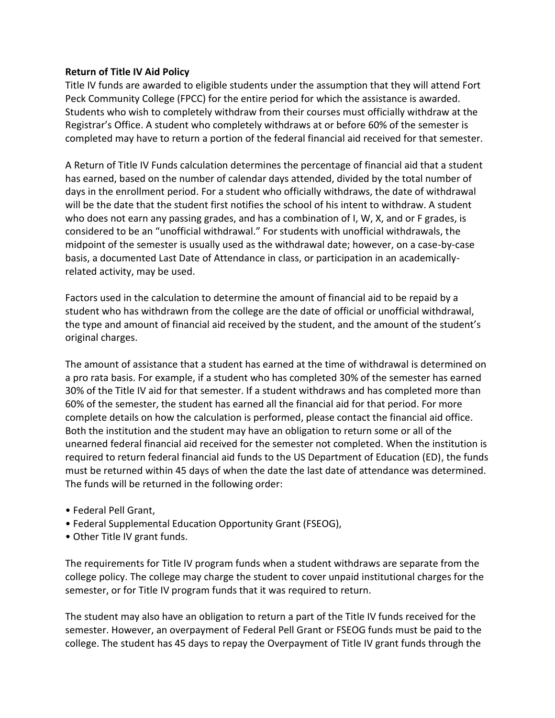## **Return of Title IV Aid Policy**

Title IV funds are awarded to eligible students under the assumption that they will attend Fort Peck Community College (FPCC) for the entire period for which the assistance is awarded. Students who wish to completely withdraw from their courses must officially withdraw at the Registrar's Office. A student who completely withdraws at or before 60% of the semester is completed may have to return a portion of the federal financial aid received for that semester.

A Return of Title IV Funds calculation determines the percentage of financial aid that a student has earned, based on the number of calendar days attended, divided by the total number of days in the enrollment period. For a student who officially withdraws, the date of withdrawal will be the date that the student first notifies the school of his intent to withdraw. A student who does not earn any passing grades, and has a combination of I, W, X, and or F grades, is considered to be an "unofficial withdrawal." For students with unofficial withdrawals, the midpoint of the semester is usually used as the withdrawal date; however, on a case-by-case basis, a documented Last Date of Attendance in class, or participation in an academicallyrelated activity, may be used.

Factors used in the calculation to determine the amount of financial aid to be repaid by a student who has withdrawn from the college are the date of official or unofficial withdrawal, the type and amount of financial aid received by the student, and the amount of the student's original charges.

The amount of assistance that a student has earned at the time of withdrawal is determined on a pro rata basis. For example, if a student who has completed 30% of the semester has earned 30% of the Title IV aid for that semester. If a student withdraws and has completed more than 60% of the semester, the student has earned all the financial aid for that period. For more complete details on how the calculation is performed, please contact the financial aid office. Both the institution and the student may have an obligation to return some or all of the unearned federal financial aid received for the semester not completed. When the institution is required to return federal financial aid funds to the US Department of Education (ED), the funds must be returned within 45 days of when the date the last date of attendance was determined. The funds will be returned in the following order:

- Federal Pell Grant,
- Federal Supplemental Education Opportunity Grant (FSEOG),
- Other Title IV grant funds.

The requirements for Title IV program funds when a student withdraws are separate from the college policy. The college may charge the student to cover unpaid institutional charges for the semester, or for Title IV program funds that it was required to return.

The student may also have an obligation to return a part of the Title IV funds received for the semester. However, an overpayment of Federal Pell Grant or FSEOG funds must be paid to the college. The student has 45 days to repay the Overpayment of Title IV grant funds through the